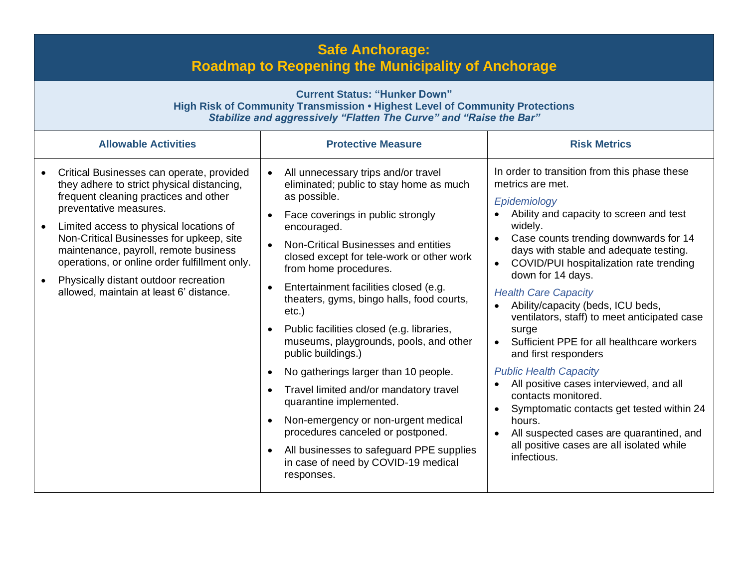## **Safe Anchorage: Roadmap to Reopening the Municipality of Anchorage**

| <b>Current Status: "Hunker Down"</b><br>High Risk of Community Transmission . Highest Level of Community Protections<br>Stabilize and aggressively "Flatten The Curve" and "Raise the Bar"                                                                                                                                                                                                                                      |                                                                                                                                                                                                                                                                                                                                                                                                                                                                                                                                                                                                                                                                                                                                                                                                     |                                                                                                                                                                                                                                                                                                                                                                                                                                                                                                                                                                                                                                                                                                                                                                                                                                |  |  |
|---------------------------------------------------------------------------------------------------------------------------------------------------------------------------------------------------------------------------------------------------------------------------------------------------------------------------------------------------------------------------------------------------------------------------------|-----------------------------------------------------------------------------------------------------------------------------------------------------------------------------------------------------------------------------------------------------------------------------------------------------------------------------------------------------------------------------------------------------------------------------------------------------------------------------------------------------------------------------------------------------------------------------------------------------------------------------------------------------------------------------------------------------------------------------------------------------------------------------------------------------|--------------------------------------------------------------------------------------------------------------------------------------------------------------------------------------------------------------------------------------------------------------------------------------------------------------------------------------------------------------------------------------------------------------------------------------------------------------------------------------------------------------------------------------------------------------------------------------------------------------------------------------------------------------------------------------------------------------------------------------------------------------------------------------------------------------------------------|--|--|
| <b>Allowable Activities</b>                                                                                                                                                                                                                                                                                                                                                                                                     | <b>Protective Measure</b>                                                                                                                                                                                                                                                                                                                                                                                                                                                                                                                                                                                                                                                                                                                                                                           | <b>Risk Metrics</b>                                                                                                                                                                                                                                                                                                                                                                                                                                                                                                                                                                                                                                                                                                                                                                                                            |  |  |
| Critical Businesses can operate, provided<br>they adhere to strict physical distancing,<br>frequent cleaning practices and other<br>preventative measures.<br>Limited access to physical locations of<br>Non-Critical Businesses for upkeep, site<br>maintenance, payroll, remote business<br>operations, or online order fulfillment only.<br>Physically distant outdoor recreation<br>allowed, maintain at least 6' distance. | All unnecessary trips and/or travel<br>eliminated; public to stay home as much<br>as possible.<br>Face coverings in public strongly<br>encouraged.<br>Non-Critical Businesses and entities<br>closed except for tele-work or other work<br>from home procedures.<br>Entertainment facilities closed (e.g.<br>theaters, gyms, bingo halls, food courts,<br>$etc.$ )<br>Public facilities closed (e.g. libraries,<br>museums, playgrounds, pools, and other<br>public buildings.)<br>No gatherings larger than 10 people.<br>$\bullet$<br>Travel limited and/or mandatory travel<br>quarantine implemented.<br>Non-emergency or non-urgent medical<br>$\bullet$<br>procedures canceled or postponed.<br>All businesses to safeguard PPE supplies<br>in case of need by COVID-19 medical<br>responses. | In order to transition from this phase these<br>metrics are met.<br>Epidemiology<br>Ability and capacity to screen and test<br>widely.<br>Case counts trending downwards for 14<br>$\bullet$<br>days with stable and adequate testing.<br>COVID/PUI hospitalization rate trending<br>$\bullet$<br>down for 14 days.<br><b>Health Care Capacity</b><br>Ability/capacity (beds, ICU beds,<br>$\bullet$<br>ventilators, staff) to meet anticipated case<br>surge<br>Sufficient PPE for all healthcare workers<br>and first responders<br><b>Public Health Capacity</b><br>All positive cases interviewed, and all<br>contacts monitored.<br>Symptomatic contacts get tested within 24<br>$\bullet$<br>hours.<br>All suspected cases are quarantined, and<br>$\bullet$<br>all positive cases are all isolated while<br>infectious. |  |  |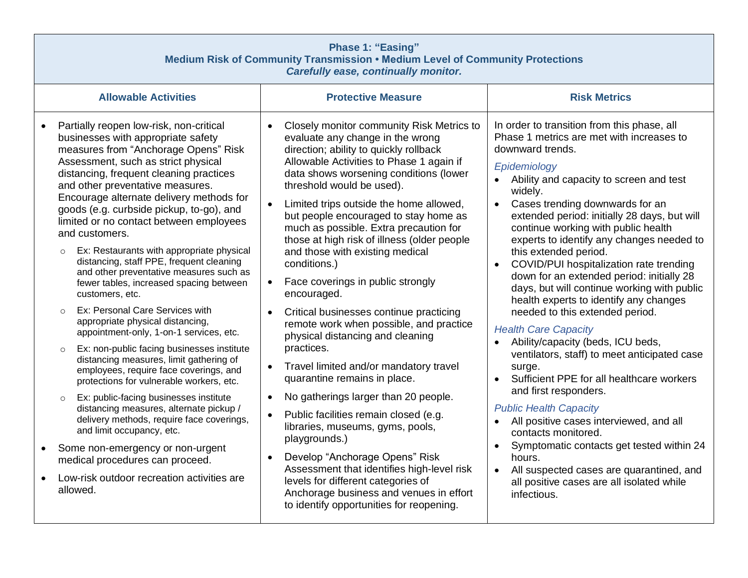| <b>Phase 1: "Easing"</b><br>Medium Risk of Community Transmission . Medium Level of Community Protections<br>Carefully ease, continually monitor. |                                                                                                                                                                                                                                                                                                                                                                                                                                                                                                                                                                                                                                                                                                                                                                                                                                                                                                                                                                                                                                                                                                                                                                                                                                      |                                                                                                                                                                                                                                                                                                                                                                                                                                                                                                                                                                                                                                                                                                                                                                                                                                                                                                                                                                                                                                                                                                                               |                                                                                                                                                                                                                                                                                                                                                                                                                                                                                                                                                                                                                                                                                                                                                                                                                                                                                                                                                                                                                                                                              |  |
|---------------------------------------------------------------------------------------------------------------------------------------------------|--------------------------------------------------------------------------------------------------------------------------------------------------------------------------------------------------------------------------------------------------------------------------------------------------------------------------------------------------------------------------------------------------------------------------------------------------------------------------------------------------------------------------------------------------------------------------------------------------------------------------------------------------------------------------------------------------------------------------------------------------------------------------------------------------------------------------------------------------------------------------------------------------------------------------------------------------------------------------------------------------------------------------------------------------------------------------------------------------------------------------------------------------------------------------------------------------------------------------------------|-------------------------------------------------------------------------------------------------------------------------------------------------------------------------------------------------------------------------------------------------------------------------------------------------------------------------------------------------------------------------------------------------------------------------------------------------------------------------------------------------------------------------------------------------------------------------------------------------------------------------------------------------------------------------------------------------------------------------------------------------------------------------------------------------------------------------------------------------------------------------------------------------------------------------------------------------------------------------------------------------------------------------------------------------------------------------------------------------------------------------------|------------------------------------------------------------------------------------------------------------------------------------------------------------------------------------------------------------------------------------------------------------------------------------------------------------------------------------------------------------------------------------------------------------------------------------------------------------------------------------------------------------------------------------------------------------------------------------------------------------------------------------------------------------------------------------------------------------------------------------------------------------------------------------------------------------------------------------------------------------------------------------------------------------------------------------------------------------------------------------------------------------------------------------------------------------------------------|--|
|                                                                                                                                                   | <b>Allowable Activities</b>                                                                                                                                                                                                                                                                                                                                                                                                                                                                                                                                                                                                                                                                                                                                                                                                                                                                                                                                                                                                                                                                                                                                                                                                          | <b>Protective Measure</b>                                                                                                                                                                                                                                                                                                                                                                                                                                                                                                                                                                                                                                                                                                                                                                                                                                                                                                                                                                                                                                                                                                     | <b>Risk Metrics</b>                                                                                                                                                                                                                                                                                                                                                                                                                                                                                                                                                                                                                                                                                                                                                                                                                                                                                                                                                                                                                                                          |  |
|                                                                                                                                                   | Partially reopen low-risk, non-critical<br>businesses with appropriate safety<br>measures from "Anchorage Opens" Risk<br>Assessment, such as strict physical<br>distancing, frequent cleaning practices<br>and other preventative measures.<br>Encourage alternate delivery methods for<br>goods (e.g. curbside pickup, to-go), and<br>limited or no contact between employees<br>and customers.<br>Ex: Restaurants with appropriate physical<br>$\circ$<br>distancing, staff PPE, frequent cleaning<br>and other preventative measures such as<br>fewer tables, increased spacing between<br>customers, etc.<br>Ex: Personal Care Services with<br>appropriate physical distancing,<br>appointment-only, 1-on-1 services, etc.<br>Ex: non-public facing businesses institute<br>$\circ$<br>distancing measures, limit gathering of<br>employees, require face coverings, and<br>protections for vulnerable workers, etc.<br>Ex: public-facing businesses institute<br>$\circ$<br>distancing measures, alternate pickup /<br>delivery methods, require face coverings,<br>and limit occupancy, etc.<br>Some non-emergency or non-urgent<br>medical procedures can proceed.<br>Low-risk outdoor recreation activities are<br>allowed. | Closely monitor community Risk Metrics to<br>evaluate any change in the wrong<br>direction; ability to quickly rollback<br>Allowable Activities to Phase 1 again if<br>data shows worsening conditions (lower<br>threshold would be used).<br>Limited trips outside the home allowed,<br>but people encouraged to stay home as<br>much as possible. Extra precaution for<br>those at high risk of illness (older people<br>and those with existing medical<br>conditions.)<br>Face coverings in public strongly<br>$\bullet$<br>encouraged.<br>Critical businesses continue practicing<br>remote work when possible, and practice<br>physical distancing and cleaning<br>practices.<br>Travel limited and/or mandatory travel<br>quarantine remains in place.<br>No gatherings larger than 20 people.<br>$\bullet$<br>Public facilities remain closed (e.g.<br>libraries, museums, gyms, pools,<br>playgrounds.)<br>Develop "Anchorage Opens" Risk<br>Assessment that identifies high-level risk<br>levels for different categories of<br>Anchorage business and venues in effort<br>to identify opportunities for reopening. | In order to transition from this phase, all<br>Phase 1 metrics are met with increases to<br>downward trends.<br>Epidemiology<br>Ability and capacity to screen and test<br>widely.<br>Cases trending downwards for an<br>extended period: initially 28 days, but will<br>continue working with public health<br>experts to identify any changes needed to<br>this extended period.<br>COVID/PUI hospitalization rate trending<br>down for an extended period: initially 28<br>days, but will continue working with public<br>health experts to identify any changes<br>needed to this extended period.<br><b>Health Care Capacity</b><br>Ability/capacity (beds, ICU beds,<br>ventilators, staff) to meet anticipated case<br>surge.<br>Sufficient PPE for all healthcare workers<br>and first responders.<br><b>Public Health Capacity</b><br>All positive cases interviewed, and all<br>contacts monitored.<br>Symptomatic contacts get tested within 24<br>hours.<br>All suspected cases are quarantined, and<br>all positive cases are all isolated while<br>infectious. |  |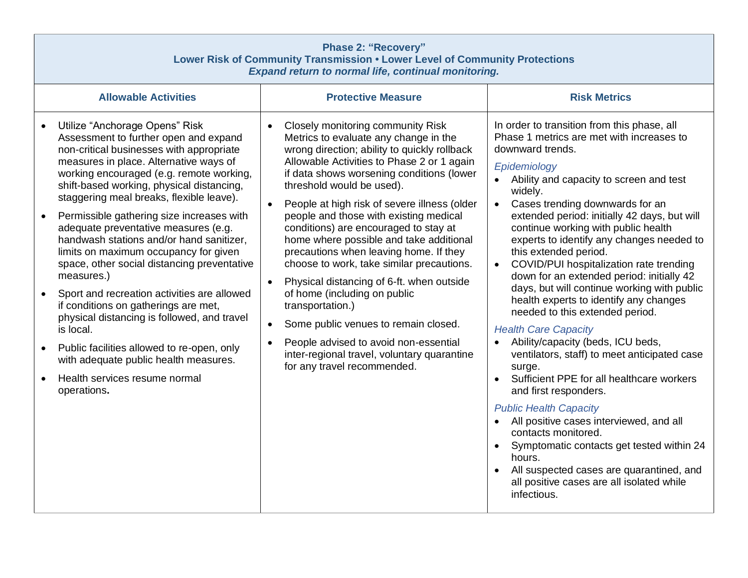| <b>Phase 2: "Recovery"</b><br>Lower Risk of Community Transmission . Lower Level of Community Protections<br><b>Expand return to normal life, continual monitoring.</b>                                                                                                                                                                                                                                                                                                                                                                                                                                                                                                                                                                                                                                                                                       |                                                                                                                                                                                                                                                                                                                                                                                                                                                                                                                                                                                                                                                                                                                                                                                                                                       |                                                                                                                                                                                                                                                                                                                                                                                                                                                                                                                                                                                                                                                                                                                                                                                                                                                                                                                                                                                                                                                                                                        |  |  |
|---------------------------------------------------------------------------------------------------------------------------------------------------------------------------------------------------------------------------------------------------------------------------------------------------------------------------------------------------------------------------------------------------------------------------------------------------------------------------------------------------------------------------------------------------------------------------------------------------------------------------------------------------------------------------------------------------------------------------------------------------------------------------------------------------------------------------------------------------------------|---------------------------------------------------------------------------------------------------------------------------------------------------------------------------------------------------------------------------------------------------------------------------------------------------------------------------------------------------------------------------------------------------------------------------------------------------------------------------------------------------------------------------------------------------------------------------------------------------------------------------------------------------------------------------------------------------------------------------------------------------------------------------------------------------------------------------------------|--------------------------------------------------------------------------------------------------------------------------------------------------------------------------------------------------------------------------------------------------------------------------------------------------------------------------------------------------------------------------------------------------------------------------------------------------------------------------------------------------------------------------------------------------------------------------------------------------------------------------------------------------------------------------------------------------------------------------------------------------------------------------------------------------------------------------------------------------------------------------------------------------------------------------------------------------------------------------------------------------------------------------------------------------------------------------------------------------------|--|--|
| <b>Allowable Activities</b>                                                                                                                                                                                                                                                                                                                                                                                                                                                                                                                                                                                                                                                                                                                                                                                                                                   | <b>Protective Measure</b>                                                                                                                                                                                                                                                                                                                                                                                                                                                                                                                                                                                                                                                                                                                                                                                                             | <b>Risk Metrics</b>                                                                                                                                                                                                                                                                                                                                                                                                                                                                                                                                                                                                                                                                                                                                                                                                                                                                                                                                                                                                                                                                                    |  |  |
| Utilize "Anchorage Opens" Risk<br>Assessment to further open and expand<br>non-critical businesses with appropriate<br>measures in place. Alternative ways of<br>working encouraged (e.g. remote working,<br>shift-based working, physical distancing,<br>staggering meal breaks, flexible leave).<br>Permissible gathering size increases with<br>$\bullet$<br>adequate preventative measures (e.g.<br>handwash stations and/or hand sanitizer,<br>limits on maximum occupancy for given<br>space, other social distancing preventative<br>measures.)<br>Sport and recreation activities are allowed<br>if conditions on gatherings are met,<br>physical distancing is followed, and travel<br>is local.<br>Public facilities allowed to re-open, only<br>$\bullet$<br>with adequate public health measures.<br>Health services resume normal<br>operations. | <b>Closely monitoring community Risk</b><br>Metrics to evaluate any change in the<br>wrong direction; ability to quickly rollback<br>Allowable Activities to Phase 2 or 1 again<br>if data shows worsening conditions (lower<br>threshold would be used).<br>People at high risk of severe illness (older<br>people and those with existing medical<br>conditions) are encouraged to stay at<br>home where possible and take additional<br>precautions when leaving home. If they<br>choose to work, take similar precautions.<br>Physical distancing of 6-ft. when outside<br>$\bullet$<br>of home (including on public<br>transportation.)<br>Some public venues to remain closed.<br>$\bullet$<br>People advised to avoid non-essential<br>$\bullet$<br>inter-regional travel, voluntary quarantine<br>for any travel recommended. | In order to transition from this phase, all<br>Phase 1 metrics are met with increases to<br>downward trends.<br>Epidemiology<br>Ability and capacity to screen and test<br>widely.<br>Cases trending downwards for an<br>$\bullet$<br>extended period: initially 42 days, but will<br>continue working with public health<br>experts to identify any changes needed to<br>this extended period.<br>COVID/PUI hospitalization rate trending<br>$\bullet$<br>down for an extended period: initially 42<br>days, but will continue working with public<br>health experts to identify any changes<br>needed to this extended period.<br><b>Health Care Capacity</b><br>Ability/capacity (beds, ICU beds,<br>ventilators, staff) to meet anticipated case<br>surge.<br>Sufficient PPE for all healthcare workers<br>and first responders.<br><b>Public Health Capacity</b><br>All positive cases interviewed, and all<br>contacts monitored.<br>Symptomatic contacts get tested within 24<br>hours.<br>All suspected cases are quarantined, and<br>all positive cases are all isolated while<br>infectious. |  |  |